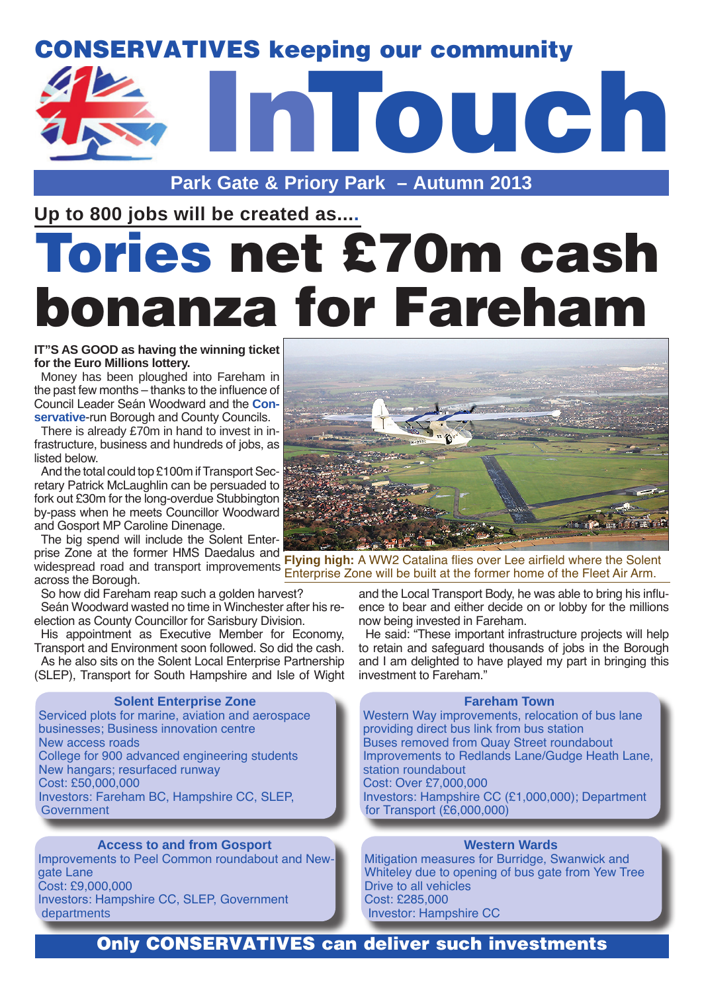### CONSERVATIVES keeping our community



**Park Gate & Priory Park – Autumn 2013** 

**Up to 800 jobs will be created as....**

# es net £70m cash bonanza for Fareham

#### **IT"S AS GOOD as having the winning ticket for the Euro Millions lottery.**

Money has been ploughed into Fareham in the past few months – thanks to the influence of Council Leader Seán Woodward and the **Conservative**-run Borough and County Councils.

There is already £70m in hand to invest in infrastructure, business and hundreds of jobs, as listed below.

And the total could top £100m if Transport Secretary Patrick McLaughlin can be persuaded to fork out £30m for the long-overdue Stubbington by-pass when he meets Councillor Woodward and Gosport MP Caroline Dinenage.

The big spend will include the Solent Enterprise Zone at the former HMS Daedalus and across the Borough.

So how did Fareham reap such a golden harvest?

Seán Woodward wasted no time in Winchester after his reelection as County Councillor for Sarisbury Division.

His appointment as Executive Member for Economy, Transport and Environment soon followed. So did the cash.

As he also sits on the Solent Local Enterprise Partnership (SLEP), Transport for South Hampshire and Isle of Wight

### **Solent Enterprise Zone**

```
Serviced plots for marine, aviation and aerospace 
businesses; Business innovation centre
New access roads
College for 900 advanced engineering students
New hangars; resurfaced runway
Cost: £50,000,000
Investors: Fareham BC, Hampshire CC, SLEP,
Government
```
### **Access to and from Gosport**

Improvements to Peel Common roundabout and Newgate Lane Cost: £9,000,000 Investors: Hampshire CC, SLEP, Government departments



widespread road and transport improvements **Flying high:** A WW2 Catalina flies over Lee airfield where the Solent Enterprise Zone will be built at the former home of the Fleet Air Arm.

> and the Local Transport Body, he was able to bring his influence to bear and either decide on or lobby for the millions now being invested in Fareham.

> He said: "These important infrastructure projects will help to retain and safeguard thousands of jobs in the Borough and I am delighted to have played my part in bringing this investment to Fareham."

### **Fareham Town**

Western Way improvements, relocation of bus lane providing direct bus link from bus station Buses removed from Quay Street roundabout Improvements to Redlands Lane/Gudge Heath Lane, station roundabout Cost: Over £7,000,000 Investors: Hampshire CC (£1,000,000); Department for Transport (£6,000,000)

### **Western Wards**

Mitigation measures for Burridge, Swanwick and Whiteley due to opening of bus gate from Yew Tree Drive to all vehicles Cost: £285,000 Investor: Hampshire CC

### Only CONSERVATIVES can deliver such investments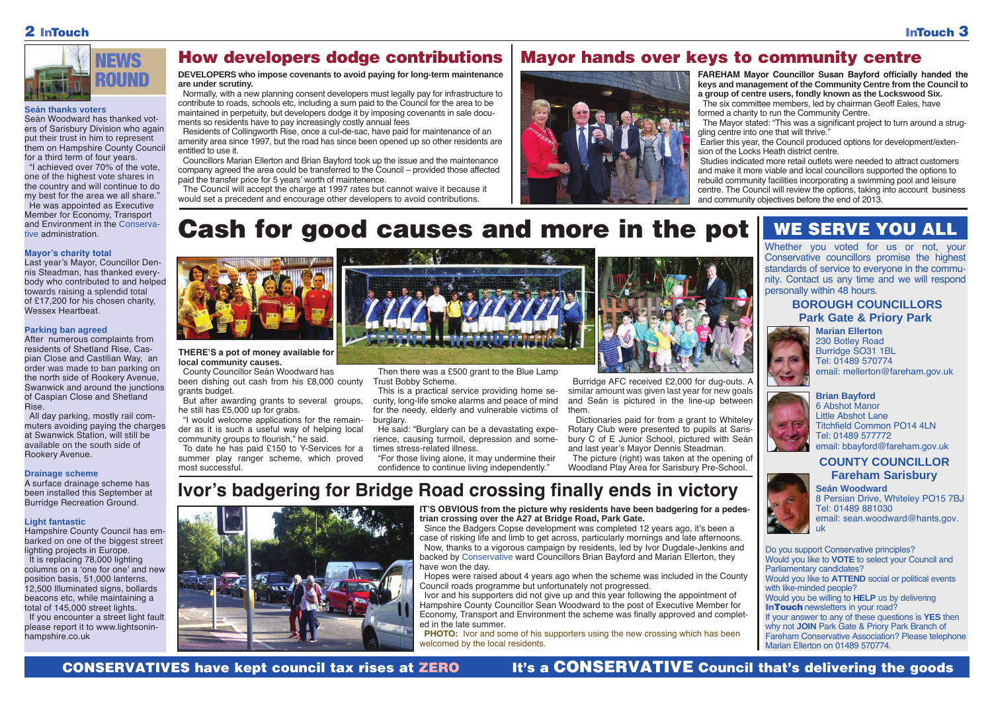Whether you voted for us or not, your Conservative councillors promise the highest standards of service to everyone in the community. Contact us any time and we will respond personally within 48 hours.

> **Brian Bayford** 6 Abshot Manor Little Abshot Lane Titchfield Common PO14 4LN Tel: 01489 577772 email: bbayford@fareham.gov.uk



**Marian Ellerton** 230 Botley Road Burridge SO31 1BL Tel: 01489 570774 email: mellerton@fareham.gov.uk



### **BOROUGH COUNCILLORS Park Gate & Priory Park**



**COUNTY COUNCILLOR Fareham Sarisbury**

Do you support Conservative principles? Would you like to **VOTE** to select your Council and Parliamentary candidates? Would you like to **ATTEND** social or political events with like-minded people? Would you be willing to **HELP** us by delivering **InTouch** newsletters in your road? If your answer to any of these questions is **YES** then why not **JOIN** Park Gate & Priory Park Branch of Fareham Conservative Association? Please telephone Marian Ellerton on 01489 570774.

#### **Seán thanks voters**

Seán Woodward has thanked voters of Sarisbury Division who again put their trust in him to represent them on Hampshire County Council for a third term of four years.

"I achieved over 70% of the vote, one of the highest vote shares in the country and will continue to do my best for the area we all share." He was appointed as Executive Member for Economy, Transport and Environment in the Conservative administration.

### **Mayor's charity total**

Last year's Mayor, Councillor Dennis Steadman, has thanked everybody who contributed to and helped towards raising a splendid total of £17,200 for his chosen charity, Wessex Heartbeat.

#### **Parking ban agreed**

After numerous complaints from residents of Shetland Rise, Caspian Close and Castilian Way, an order was made to ban parking on the north side of Rookery Avenue, Swanwick and around the junctions of Caspian Close and Shetland Rise.

All day parking, mostly rail commuters avoiding paying the charges at Swanwick Station, will still be available on the south side of Rookery Avenue.

#### **Drainage scheme**

A surface drainage scheme has been installed this September at Burridge Recreation Ground.

### **Light fantastic**

Hampshire County Council has embarked on one of the biggest street lighting projects in Europe. It is replacing 78,000 lighting columns on a 'one for one' and new position basis, 51,000 lanterns, 12,500 Illuminated signs, bollards beacons etc, while maintaining a total of 145,000 street lights. If you encounter a street light fault please report it to www.lightsoninhampshire.co.uk



**Seán Woodward** 8 Persian Drive, Whiteley PO15 7BJ Tel: 01489 881030 email: sean.woodward@hants.gov. uk

### WE SERVE YOU ALL

### How developers dodge contributions

**FAREHAM Mayor Councillor Susan Bayford officially handed the keys and management of the Community Centre from the Council to a group of centre users, fondly known as the Lockswood Six.** The six committee members, led by chairman Geoff Eales, have formed a charity to run the Community Centre.

The Mayor stated: "This was a significant project to turn around a struggling centre into one that will thrive."

Earlier this year, the Council produced options for development/extension of the Locks Heath district centre.

**PHOTO:** Ivor and some of his supporters using the new crossing which has been welcomed by the local residents.

CONSERVATIVES have kept council tax rises at ZERO It's a CONSERVATIVE Council that's delivering the goods

Studies indicated more retail outlets were needed to attract customers and make it more viable and local councillors supported the options to rebuild community facilities incorporating a swimming pool and leisure centre. The Council will review the options, taking into account business and community objectives before the end of 2013.

### Mayor hands over keys to community centre



### **DEVELOPERS who impose covenants to avoid paying for long-term maintenance are under scrutiny.**

Normally, with a new planning consent developers must legally pay for infrastructure to contribute to roads, schools etc, including a sum paid to the Council for the area to be maintained in perpetuity, but developers dodge it by imposing covenants in sale documents so residents have to pay increasingly costly annual fees

Residents of Collingworth Rise, once a cul-de-sac, have paid for maintenance of an amenity area since 1997, but the road has since been opened up so other residents are entitled to use it.

Councillors Marian Ellerton and Brian Bayford took up the issue and the maintenance company agreed the area could be transferred to the Council – provided those affected paid the transfer price for 5 years' worth of maintenence.

The Council will accept the charge at 1997 rates but cannot waive it because it would set a precedent and encourage other developers to avoid contributions.

## Cash for good causes and more in the pot



#### **THERE'S a pot of money available for local community causes.**

County Councillor Seán Woodward has been dishing out cash from his £8,000 county

grants budget.

But after awarding grants to several groups, he still has £5,000 up for grabs.

"I would welcome applications for the remainder as it is such a useful way of helping local community groups to flourish," he said.

To date he has paid £150 to Y-Services for a summer play ranger scheme, which proved most successful.



Then there was a £500 grant to the Blue Lamp Trust Bobby Scheme.

This is a practical service providing home security, long-life smoke alarms and peace of mind for the needy, elderly and vulnerable victims of burglary.

He said: "Burglary can be a devastating experience, causing turmoil, depression and sometimes stress-related illness.

"For those living alone, it may undermine their confidence to continue living independently."

Burridge AFC received £2,000 for dug-outs. A similar amount was given last year for new goals and Seán is pictured in the line-up between them.

 Dictionaries paid for from a grant to Whiteley Rotary Club were presented to pupils at Sarisbury C of E Junior School, pictured with Seán and last year's Mayor Dennis Steadman.

The picture (right) was taken at the opening of Woodland Play Area for Sarisbury Pre-School.

**IT'S OBVIOUS from the picture why residents have been badgering for a pedestrian crossing over the A27 at Bridge Road, Park Gate.**

Since the Badgers Copse development was completed 12 years ago, it's been a case of risking life and limb to get across, particularly mornings and late afternoons. Now, thanks to a vigorous campaign by residents, led by Ivor Dugdale-Jenkins and backed by Conservative ward Councillors Brian Bayford and Marian Ellerton, they have won the day.

Hopes were raised about 4 years ago when the scheme was included in the County Council roads programme but unfortunately not progressed.

Ivor and his supporters did not give up and this year following the appointment of Hampshire County Councillor Sean Woodward to the post of Executive Member for Economy, Transport and Environment the scheme was finally approved and completed in the late summer.

### **Ivor's badgering for Bridge Road crossing finally ends in victory**